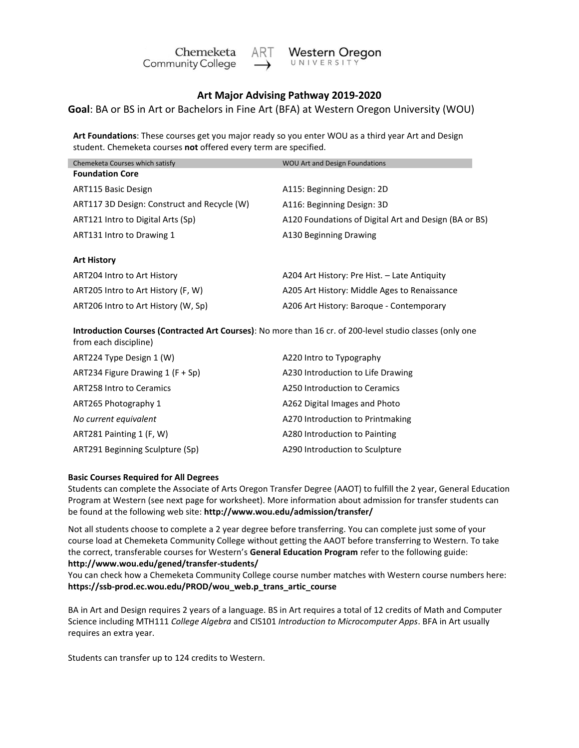

## **Art Major Advising Pathway 2019-2020**

**Goal**: BA or BS in Art or Bachelors in Fine Art (BFA) at Western Oregon University (WOU)

**Art Foundations**: These courses get you major ready so you enter WOU as a third year Art and Design student. Chemeketa courses **not** offered every term are specified.

| Chemeketa Courses which satisfy                                                                                                   | <b>WOU Art and Design Foundations</b>                 |  |
|-----------------------------------------------------------------------------------------------------------------------------------|-------------------------------------------------------|--|
| <b>Foundation Core</b>                                                                                                            |                                                       |  |
| ART115 Basic Design                                                                                                               | A115: Beginning Design: 2D                            |  |
| ART117 3D Design: Construct and Recycle (W)                                                                                       | A116: Beginning Design: 3D                            |  |
| ART121 Intro to Digital Arts (Sp)                                                                                                 | A120 Foundations of Digital Art and Design (BA or BS) |  |
| ART131 Intro to Drawing 1                                                                                                         | A130 Beginning Drawing                                |  |
|                                                                                                                                   |                                                       |  |
| <b>Art History</b>                                                                                                                |                                                       |  |
| ART204 Intro to Art History                                                                                                       | A204 Art History: Pre Hist. – Late Antiquity          |  |
| ART205 Intro to Art History (F, W)                                                                                                | A205 Art History: Middle Ages to Renaissance          |  |
| ART206 Intro to Art History (W, Sp)                                                                                               | A206 Art History: Baroque - Contemporary              |  |
|                                                                                                                                   |                                                       |  |
| Introduction Courses (Contracted Art Courses): No more than 16 cr. of 200-level studio classes (only one<br>from each discipline) |                                                       |  |

| ART224 Type Design 1 (W)          | A220 Intro to Typography          |  |
|-----------------------------------|-----------------------------------|--|
| ART234 Figure Drawing $1(F + Sp)$ | A230 Introduction to Life Drawing |  |
| <b>ART258 Intro to Ceramics</b>   | A250 Introduction to Ceramics     |  |
| ART265 Photography 1              | A262 Digital Images and Photo     |  |
| No current equivalent             | A270 Introduction to Printmaking  |  |
| ART281 Painting 1 (F, W)          | A280 Introduction to Painting     |  |
| ART291 Beginning Sculpture (Sp)   | A290 Introduction to Sculpture    |  |

## **Basic Courses Required for All Degrees**

Students can complete the Associate of Arts Oregon Transfer Degree (AAOT) to fulfill the 2 year, General Education Program at Western (see next page for worksheet). More information about admission for transfer students can be found at the following web site: **<http://www.wou.edu/admission/transfer/>**

Not all students choose to complete a 2 year degree before transferring. You can complete just some of your course load at Chemeketa Community College without getting the AAOT before transferring to Western. To take the correct, transferable courses for Western's **General Education Program** refer to the following guide: **<http://www.wou.edu/gened/transfer-students/>**

You can check how a Chemeketa Community College course number matches with Western course numbers here: **[https://ssb-prod.ec.wou.edu/PROD/wou\\_web.p\\_trans\\_artic\\_course](https://ssb-prod.ec.wou.edu/PROD/wou_web.p_trans_artic_course)**

BA in Art and Design requires 2 years of a language. BS in Art requires a total of 12 credits of Math and Computer Science including MTH111 *College Algebra* and CIS101 *Introduction to Microcomputer Apps*. BFA in Art usually requires an extra year.

Students can transfer up to 124 credits to Western.